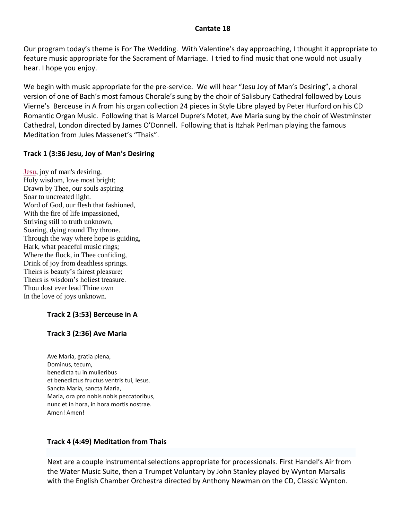## **Cantate 18**

Our program today's theme is For The Wedding. With Valentine's day approaching, I thought it appropriate to feature music appropriate for the Sacrament of Marriage. I tried to find music that one would not usually hear. I hope you enjoy.

We begin with music appropriate for the pre-service. We will hear "Jesu Joy of Man's Desiring", a choral version of one of Bach's most famous Chorale's sung by the choir of Salisbury Cathedral followed by Louis Vierne's Berceuse in A from his organ collection 24 pieces in Style Libre played by Peter Hurford on his CD Romantic Organ Music. Following that is Marcel Dupre's Motet, Ave Maria sung by the choir of Westminster Cathedral, London directed by James O'Donnell. Following that is Itzhak Perlman playing the famous Meditation from Jules Massenet's "Thais".

## **Track 1 (3:36 Jesu, Joy of Man's Desiring**

[Jesu,](http://en.wikipedia.org/wiki/Jesus) joy of man's desiring, Holy wisdom, love most bright; Drawn by Thee, our souls aspiring Soar to uncreated light. Word of God, our flesh that fashioned, With the fire of life impassioned, Striving still to truth unknown, Soaring, dying round Thy throne. Through the way where hope is guiding, Hark, what peaceful music rings; Where the flock, in Thee confiding, Drink of joy from deathless springs. Theirs is beauty's fairest pleasure; Theirs is wisdom's holiest treasure. Thou dost ever lead Thine own In the love of joys unknown.

# **Track 2 (3:53) Berceuse in A**

## **Track 3 (2:36) Ave Maria**

Ave Maria, gratia plena, Dominus, tecum, benedicta tu in mulieribus et benedictus fructus ventris tui, Iesus. Sancta Maria, sancta Maria, Maria, ora pro nobis nobis peccatoribus, nunc et in hora, in hora mortis nostrae. Amen! Amen!

## **Track 4 (4:49) Meditation from Thais**

Next are a couple instrumental selections appropriate for processionals. First Handel's Air from the Water Music Suite, then a Trumpet Voluntary by John Stanley played by Wynton Marsalis with the English Chamber Orchestra directed by Anthony Newman on the CD, Classic Wynton.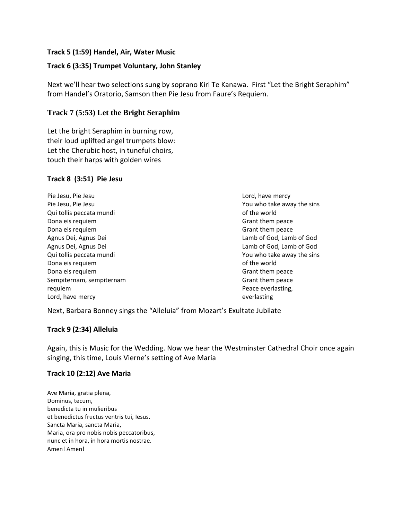## **Track 5 (1:59) Handel, Air, Water Music**

## **Track 6 (3:35) Trumpet Voluntary, John Stanley**

Next we'll hear two selections sung by soprano Kiri Te Kanawa. First "Let the Bright Seraphim" from Handel's Oratorio, Samson then Pie Jesu from Faure's Requiem.

## **Track 7 (5:53) Let the Bright Seraphim**

Let the bright Seraphim in burning row, their loud uplifted angel trumpets blow: Let the Cherubic host, in tuneful choirs, touch their harps with golden wires

## **Track 8 (3:51) Pie Jesu**

Pie Jesu, Pie Jesu Pie Jesu, Pie Jesu Qui tollis peccata mundi Dona eis requiem Dona eis requiem Agnus Dei, Agnus Dei Agnus Dei, Agnus Dei Qui tollis peccata mundi Dona eis requiem Dona eis requiem Sempiternam, sempiternam requiem Lord, have mercy

Lord, have mercy You who take away the sins of the world Grant them peace Grant them peace Lamb of God, Lamb of God Lamb of God, Lamb of God You who take away the sins of the world Grant them peace Grant them peace Peace everlasting, everlasting

Next, Barbara Bonney sings the "Alleluia" from Mozart's Exultate Jubilate

## **Track 9 (2:34) Alleluia**

Again, this is Music for the Wedding. Now we hear the Westminster Cathedral Choir once again singing, this time, Louis Vierne's setting of Ave Maria

## **Track 10 (2:12) Ave Maria**

Ave Maria, gratia plena, Dominus, tecum, benedicta tu in mulieribus et benedictus fructus ventris tui, Iesus. Sancta Maria, sancta Maria, Maria, ora pro nobis nobis peccatoribus, nunc et in hora, in hora mortis nostrae. Amen! Amen!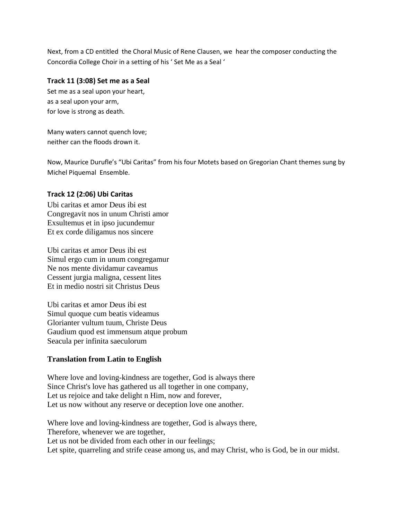Next, from a CD entitled the Choral Music of Rene Clausen, we hear the composer conducting the Concordia College Choir in a setting of his ' Set Me as a Seal '

#### **Track 11 (3:08) Set me as a Seal**

Set me as a seal upon your heart, as a seal upon your arm, for love is strong as death.

Many waters cannot quench love; neither can the floods drown it.

Now, Maurice Durufle's "Ubi Caritas" from his four Motets based on Gregorian Chant themes sung by Michel Piquemal Ensemble.

#### **Track 12 (2:06) Ubi Caritas**

Ubi caritas et amor Deus ibi est Congregavit nos in unum Christi amor Exsultemus et in ipso jucundemur Et ex corde diligamus nos sincere

Ubi caritas et amor Deus ibi est Simul ergo cum in unum congregamur Ne nos mente dividamur caveamus Cessent jurgia maligna, cessent lites Et in medio nostri sit Christus Deus

Ubi caritas et amor Deus ibi est Simul quoque cum beatis videamus Glorianter vultum tuum, Christe Deus Gaudium quod est immensum atque probum Seacula per infinita saeculorum

## **Translation from Latin to English**

Where love and loving-kindness are together, God is always there Since Christ's love has gathered us all together in one company, Let us rejoice and take delight n Him, now and forever, Let us now without any reserve or deception love one another.

Where love and loving-kindness are together, God is always there, Therefore, whenever we are together, Let us not be divided from each other in our feelings; Let spite, quarreling and strife cease among us, and may Christ, who is God, be in our midst.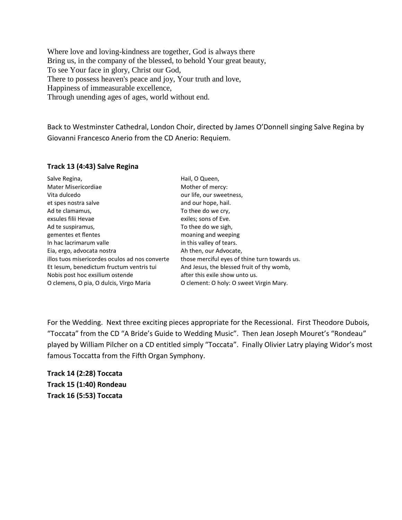Where love and loving-kindness are together, God is always there Bring us, in the company of the blessed, to behold Your great beauty, To see Your face in glory, Christ our God, There to possess heaven's peace and joy, Your truth and love, Happiness of immeasurable excellence, Through unending ages of ages, world without end.

Back to Westminster Cathedral, London Choir, directed by James O'Donnell singing Salve Regina by Giovanni Francesco Anerio from the CD Anerio: Requiem.

#### **Track 13 (4:43) Salve Regina**

| Salve Regina,                                  | Hail, O Queen,                                |
|------------------------------------------------|-----------------------------------------------|
| Mater Misericordiae                            | Mother of mercy:                              |
| Vita dulcedo                                   | our life, our sweetness,                      |
| et spes nostra salve                           | and our hope, hail.                           |
| Ad te clamamus,                                | To thee do we cry,                            |
| exsules filii Hevae                            | exiles; sons of Eve.                          |
| Ad te suspiramus,                              | To thee do we sigh,                           |
| gementes et flentes                            | moaning and weeping                           |
| In hac lacrimarum valle                        | in this valley of tears.                      |
| Eia, ergo, advocata nostra                     | Ah then, our Advocate,                        |
| illos tuos misericordes oculos ad nos converte | those merciful eyes of thine turn towards us. |
| Et lesum, benedictum fructum ventris tui       | And Jesus, the blessed fruit of thy womb,     |
| Nobis post hoc exsilium ostende                | after this exile show unto us.                |
| O clemens, O pia, O dulcis, Virgo Maria        | O clement: O holy: O sweet Virgin Mary.       |

For the Wedding. Next three exciting pieces appropriate for the Recessional. First Theodore Dubois, "Toccata" from the CD "A Bride's Guide to Wedding Music". Then Jean Joseph Mouret's "Rondeau" played by William Pilcher on a CD entitled simply "Toccata". Finally Olivier Latry playing Widor's most famous Toccatta from the Fifth Organ Symphony.

**Track 14 (2:28) Toccata Track 15 (1:40) Rondeau Track 16 (5:53) Toccata**